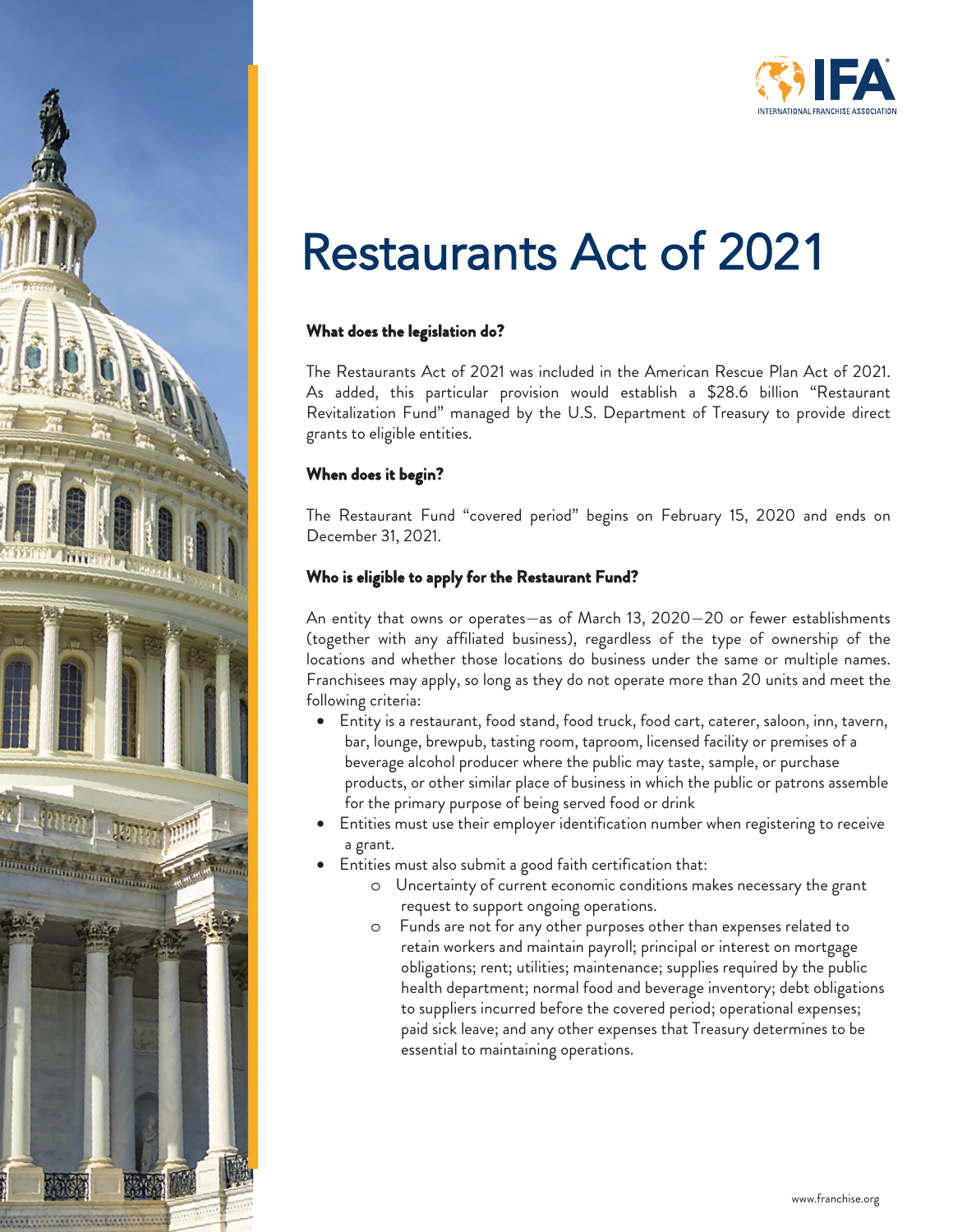

# Restaurants Act of 2021

# **What does the legislation do?**

The Restaurants Act of 2021 was included in the American Rescue Plan Act of 2021. As added, this particular provision would establish a \$28.6 billion "Restaurant Revitalization Fund" managed by the U.S. Department of Treasury to provide direct grants to eligible entities.

### **When does it begin?**

The Restaurant Fund "covered period" begins on February 15, 2020 and ends on December 31, 2021.

## **Who is eligible to apply for the Restaurant Fund?**

An entity that owns or operates—as of March 13, 2020—20 or fewer establishments (together with any affiliated business), regardless of the type of ownership of the locations and whether those locations do business under the same or multiple names. Franchisees may apply, so long as they do not operate more than 20 units and meet the following criteria:

- Entity is a restaurant, food stand, food truck, food cart, caterer, saloon, inn, tavern, bar, lounge, brewpub, tasting room, taproom, licensed facility or premises of a beverage alcohol producer where the public may taste, sample, or purchase products, or other similar place of business in which the public or patrons assemble for the primary purpose of being served food or drink
- Entities must use their employer identification number when registering to receive a grant.
- Entities must also submit a good faith certification that:
	- o Uncertainty of current economic conditions makes necessary the grant request to support ongoing operations.
	- o Funds are not for any other purposes other than expenses related to retain workers and maintain payroll; principal or interest on mortgage obligations; rent; utilities; maintenance; supplies required by the public health department; normal food and beverage inventory; debt obligations to suppliers incurred before the covered period; operational expenses; paid sick leave; and any other expenses that Treasury determines to be essential to maintaining operations.